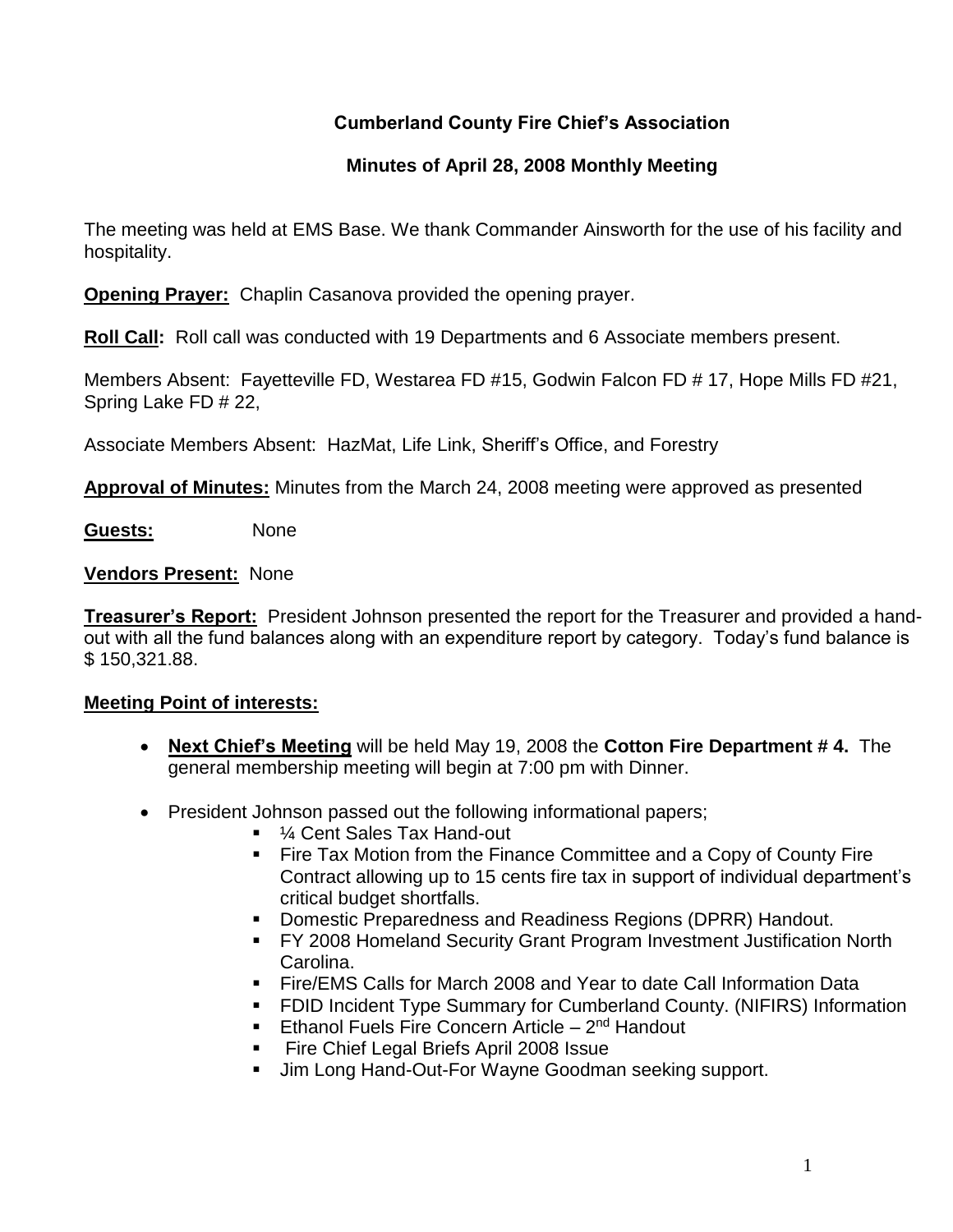# **Cumberland County Fire Chief's Association**

### **Minutes of April 28, 2008 Monthly Meeting**

The meeting was held at EMS Base. We thank Commander Ainsworth for the use of his facility and hospitality.

**Opening Prayer:** Chaplin Casanova provided the opening prayer.

**Roll Call:** Roll call was conducted with 19 Departments and 6 Associate members present.

Members Absent: Fayetteville FD, Westarea FD #15, Godwin Falcon FD # 17, Hope Mills FD #21, Spring Lake FD # 22,

Associate Members Absent: HazMat, Life Link, Sheriff's Office, and Forestry

**Approval of Minutes:** Minutes from the March 24, 2008 meeting were approved as presented

**Guests:** None

#### **Vendors Present:** None

**Treasurer's Report:** President Johnson presented the report for the Treasurer and provided a handout with all the fund balances along with an expenditure report by category. Today's fund balance is \$ 150,321.88.

### **Meeting Point of interests:**

- **Next Chief's Meeting** will be held May 19, 2008 the **Cotton Fire Department # 4.** The general membership meeting will begin at 7:00 pm with Dinner.
- President Johnson passed out the following informational papers;
	- ¼ Cent Sales Tax Hand-out
	- **Fire Tax Motion from the Finance Committee and a Copy of County Fire** Contract allowing up to 15 cents fire tax in support of individual department's critical budget shortfalls.
	- Domestic Preparedness and Readiness Regions (DPRR) Handout.
	- **FY 2008 Homeland Security Grant Program Investment Justification North** Carolina.
	- Fire/EMS Calls for March 2008 and Year to date Call Information Data
	- FDID Incident Type Summary for Cumberland County. (NIFIRS) Information
	- **Ethanol Fuels Fire Concern Article 2nd Handout**
	- Fire Chief Legal Briefs April 2008 Issue
	- **Jim Long Hand-Out-For Wayne Goodman seeking support.**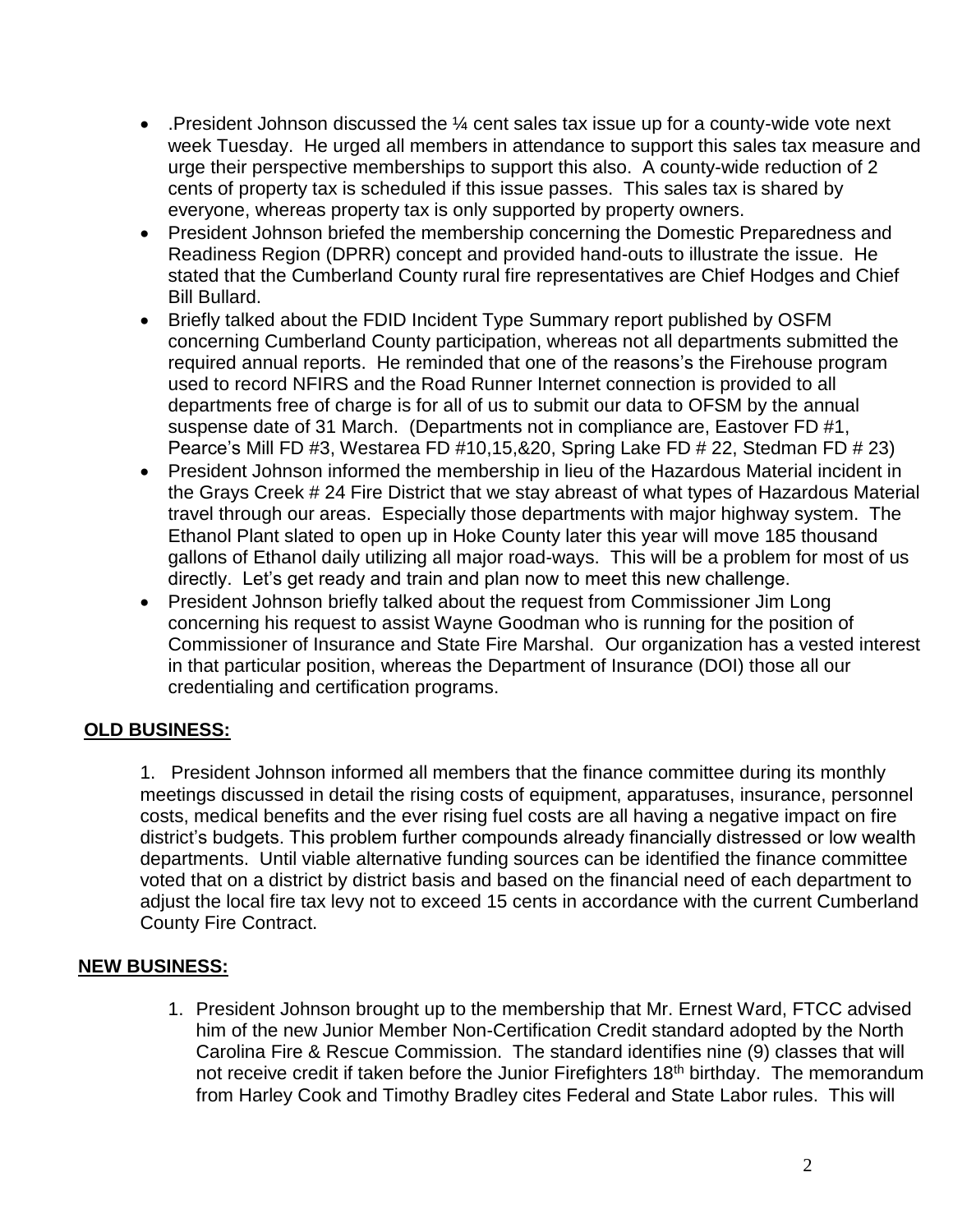- **.** President Johnson discussed the  $\frac{1}{4}$  cent sales tax issue up for a county-wide vote next week Tuesday. He urged all members in attendance to support this sales tax measure and urge their perspective memberships to support this also. A county-wide reduction of 2 cents of property tax is scheduled if this issue passes. This sales tax is shared by everyone, whereas property tax is only supported by property owners.
- President Johnson briefed the membership concerning the Domestic Preparedness and Readiness Region (DPRR) concept and provided hand-outs to illustrate the issue. He stated that the Cumberland County rural fire representatives are Chief Hodges and Chief Bill Bullard.
- Briefly talked about the FDID Incident Type Summary report published by OSFM concerning Cumberland County participation, whereas not all departments submitted the required annual reports. He reminded that one of the reasons's the Firehouse program used to record NFIRS and the Road Runner Internet connection is provided to all departments free of charge is for all of us to submit our data to OFSM by the annual suspense date of 31 March. (Departments not in compliance are, Eastover FD #1, Pearce's Mill FD #3, Westarea FD #10,15,&20, Spring Lake FD # 22, Stedman FD # 23)
- President Johnson informed the membership in lieu of the Hazardous Material incident in the Grays Creek # 24 Fire District that we stay abreast of what types of Hazardous Material travel through our areas. Especially those departments with major highway system. The Ethanol Plant slated to open up in Hoke County later this year will move 185 thousand gallons of Ethanol daily utilizing all major road-ways. This will be a problem for most of us directly. Let's get ready and train and plan now to meet this new challenge.
- President Johnson briefly talked about the request from Commissioner Jim Long concerning his request to assist Wayne Goodman who is running for the position of Commissioner of Insurance and State Fire Marshal. Our organization has a vested interest in that particular position, whereas the Department of Insurance (DOI) those all our credentialing and certification programs.

# **OLD BUSINESS:**

1. President Johnson informed all members that the finance committee during its monthly meetings discussed in detail the rising costs of equipment, apparatuses, insurance, personnel costs, medical benefits and the ever rising fuel costs are all having a negative impact on fire district's budgets. This problem further compounds already financially distressed or low wealth departments. Until viable alternative funding sources can be identified the finance committee voted that on a district by district basis and based on the financial need of each department to adjust the local fire tax levy not to exceed 15 cents in accordance with the current Cumberland County Fire Contract.

### **NEW BUSINESS:**

1. President Johnson brought up to the membership that Mr. Ernest Ward, FTCC advised him of the new Junior Member Non-Certification Credit standard adopted by the North Carolina Fire & Rescue Commission. The standard identifies nine (9) classes that will not receive credit if taken before the Junior Firefighters 18th birthday. The memorandum from Harley Cook and Timothy Bradley cites Federal and State Labor rules. This will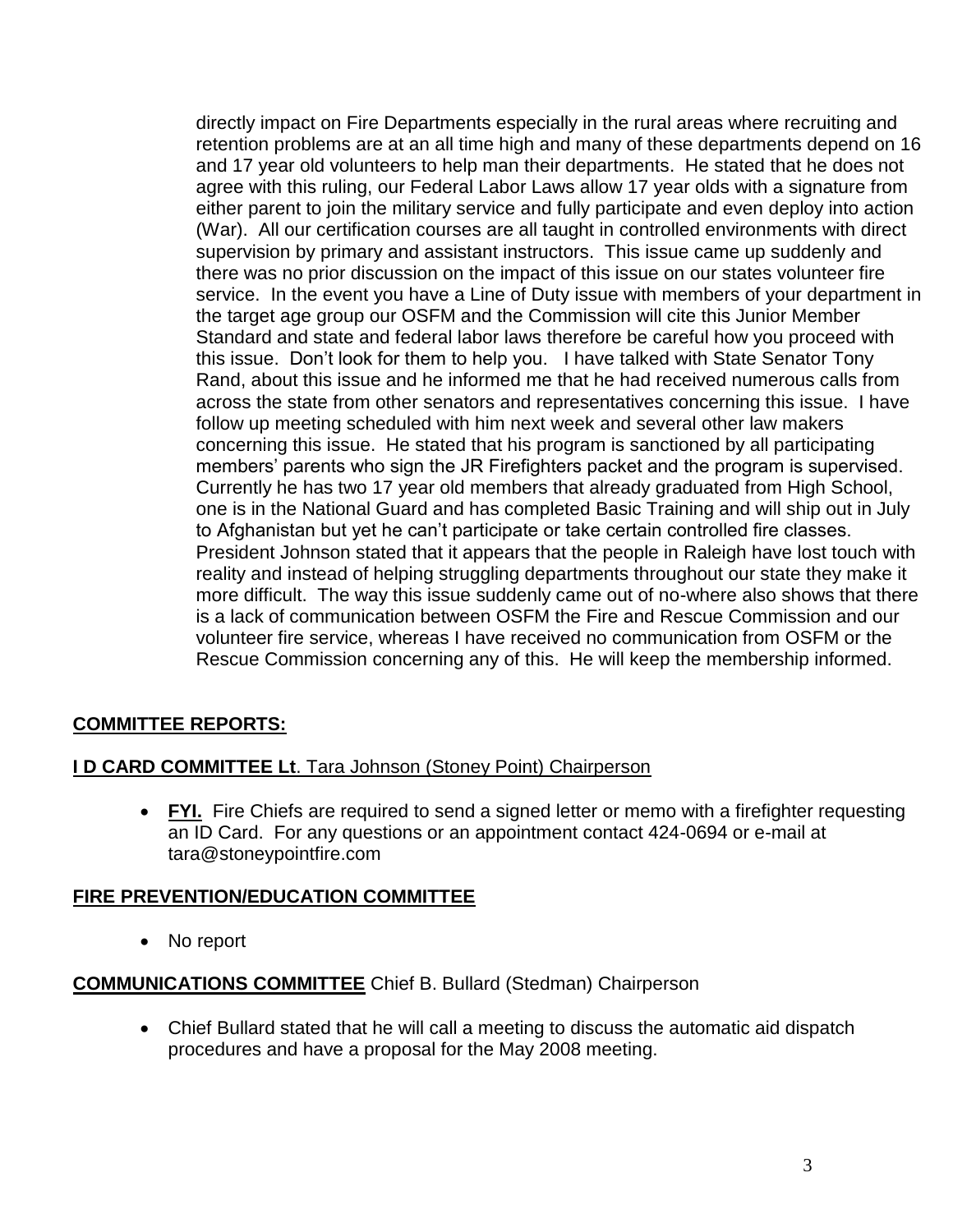directly impact on Fire Departments especially in the rural areas where recruiting and retention problems are at an all time high and many of these departments depend on 16 and 17 year old volunteers to help man their departments. He stated that he does not agree with this ruling, our Federal Labor Laws allow 17 year olds with a signature from either parent to join the military service and fully participate and even deploy into action (War). All our certification courses are all taught in controlled environments with direct supervision by primary and assistant instructors. This issue came up suddenly and there was no prior discussion on the impact of this issue on our states volunteer fire service. In the event you have a Line of Duty issue with members of your department in the target age group our OSFM and the Commission will cite this Junior Member Standard and state and federal labor laws therefore be careful how you proceed with this issue. Don't look for them to help you. I have talked with State Senator Tony Rand, about this issue and he informed me that he had received numerous calls from across the state from other senators and representatives concerning this issue. I have follow up meeting scheduled with him next week and several other law makers concerning this issue. He stated that his program is sanctioned by all participating members' parents who sign the JR Firefighters packet and the program is supervised. Currently he has two 17 year old members that already graduated from High School, one is in the National Guard and has completed Basic Training and will ship out in July to Afghanistan but yet he can't participate or take certain controlled fire classes. President Johnson stated that it appears that the people in Raleigh have lost touch with reality and instead of helping struggling departments throughout our state they make it more difficult. The way this issue suddenly came out of no-where also shows that there is a lack of communication between OSFM the Fire and Rescue Commission and our volunteer fire service, whereas I have received no communication from OSFM or the Rescue Commission concerning any of this. He will keep the membership informed.

# **COMMITTEE REPORTS:**

#### **I D CARD COMMITTEE Lt**. Tara Johnson (Stoney Point) Chairperson

• FYI. Fire Chiefs are required to send a signed letter or memo with a firefighter requesting an ID Card. For any questions or an appointment contact 424-0694 or e-mail at [tara@stoneypointfire.com](mailto:tara@stoneypointfire.com)

#### **FIRE PREVENTION/EDUCATION COMMITTEE**

• No report

#### **COMMUNICATIONS COMMITTEE** Chief B. Bullard (Stedman) Chairperson

 Chief Bullard stated that he will call a meeting to discuss the automatic aid dispatch procedures and have a proposal for the May 2008 meeting.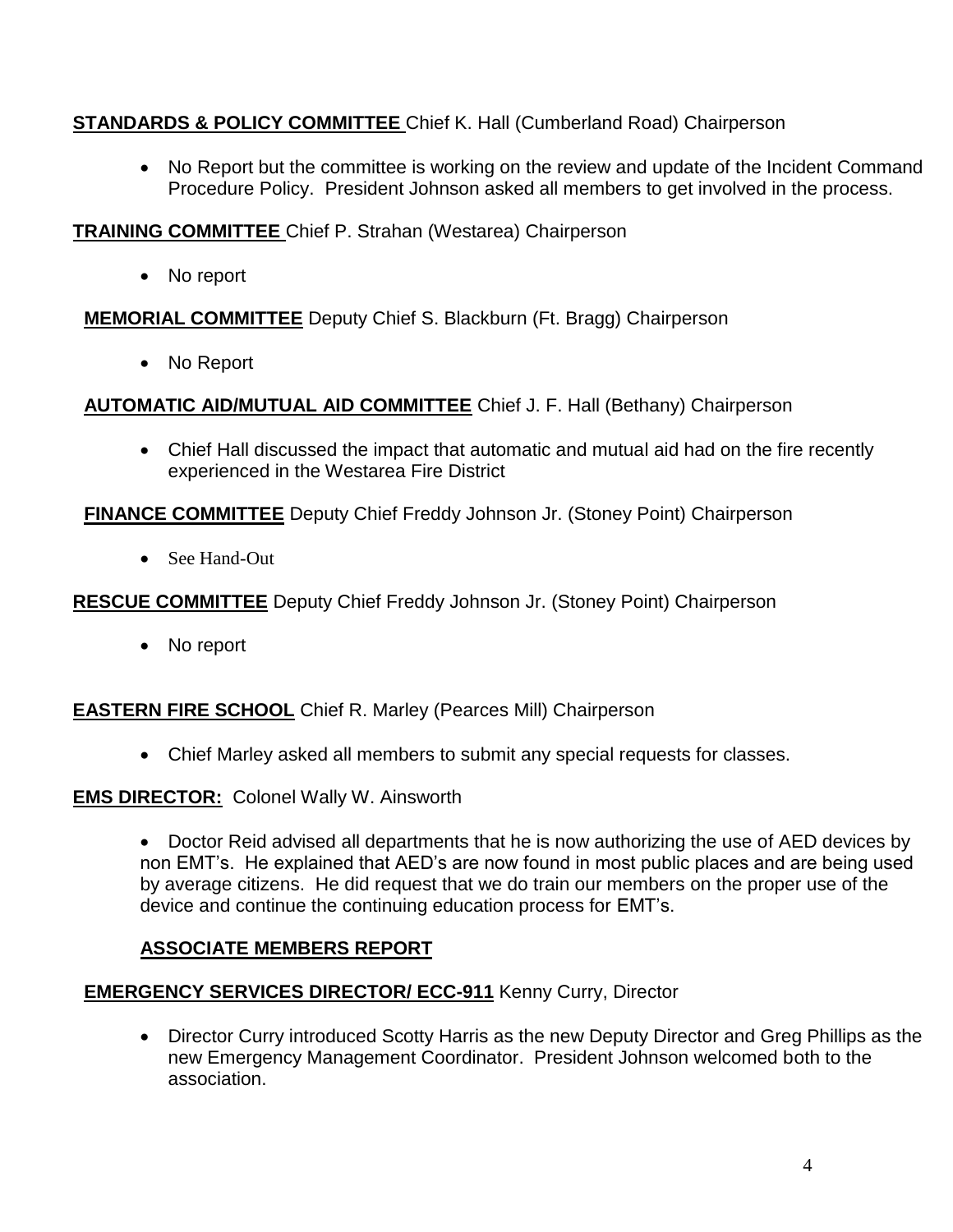### **STANDARDS & POLICY COMMITTEE** Chief K. Hall (Cumberland Road) Chairperson

• No Report but the committee is working on the review and update of the Incident Command Procedure Policy. President Johnson asked all members to get involved in the process.

#### **TRAINING COMMITTEE** Chief P. Strahan (Westarea) Chairperson

• No report

**MEMORIAL COMMITTEE** Deputy Chief S. Blackburn (Ft. Bragg) Chairperson

No Report

**AUTOMATIC AID/MUTUAL AID COMMITTEE** Chief J. F. Hall (Bethany) Chairperson

 Chief Hall discussed the impact that automatic and mutual aid had on the fire recently experienced in the Westarea Fire District

**FINANCE COMMITTEE** Deputy Chief Freddy Johnson Jr. (Stoney Point) Chairperson

• See Hand-Out

**RESCUE COMMITTEE** Deputy Chief Freddy Johnson Jr. (Stoney Point) Chairperson

• No report

**EASTERN FIRE SCHOOL** Chief R. Marley (Pearces Mill) Chairperson

Chief Marley asked all members to submit any special requests for classes.

**EMS DIRECTOR:** Colonel Wally W. Ainsworth

• Doctor Reid advised all departments that he is now authorizing the use of AED devices by non EMT's. He explained that AED's are now found in most public places and are being used by average citizens. He did request that we do train our members on the proper use of the device and continue the continuing education process for EMT's.

### **ASSOCIATE MEMBERS REPORT**

# **EMERGENCY SERVICES DIRECTOR/ ECC-911** Kenny Curry, Director

 Director Curry introduced Scotty Harris as the new Deputy Director and Greg Phillips as the new Emergency Management Coordinator. President Johnson welcomed both to the association.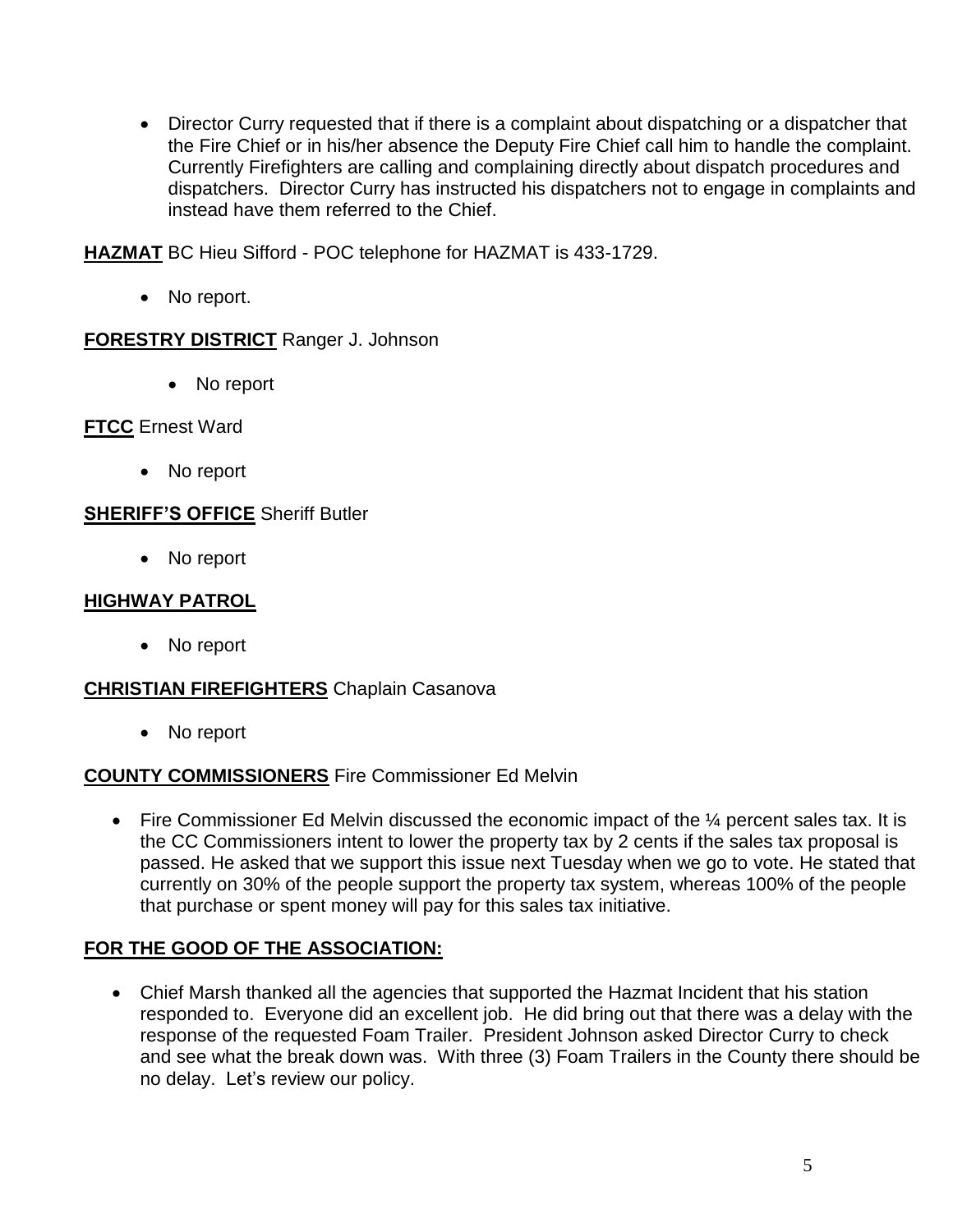Director Curry requested that if there is a complaint about dispatching or a dispatcher that the Fire Chief or in his/her absence the Deputy Fire Chief call him to handle the complaint. Currently Firefighters are calling and complaining directly about dispatch procedures and dispatchers. Director Curry has instructed his dispatchers not to engage in complaints and instead have them referred to the Chief.

**HAZMAT** BC Hieu Sifford - POC telephone for HAZMAT is 433-1729.

• No report.

#### **FORESTRY DISTRICT** Ranger J. Johnson

• No report

#### **FTCC** Ernest Ward

• No report

#### **SHERIFF'S OFFICE** Sheriff Butler

• No report

### **HIGHWAY PATROL**

• No report

### **CHRISTIAN FIREFIGHTERS** Chaplain Casanova

• No report

### **COUNTY COMMISSIONERS** Fire Commissioner Ed Melvin

Fire Commissioner Ed Melvin discussed the economic impact of the  $\frac{1}{4}$  percent sales tax. It is the CC Commissioners intent to lower the property tax by 2 cents if the sales tax proposal is passed. He asked that we support this issue next Tuesday when we go to vote. He stated that currently on 30% of the people support the property tax system, whereas 100% of the people that purchase or spent money will pay for this sales tax initiative.

### **FOR THE GOOD OF THE ASSOCIATION:**

 Chief Marsh thanked all the agencies that supported the Hazmat Incident that his station responded to. Everyone did an excellent job. He did bring out that there was a delay with the response of the requested Foam Trailer. President Johnson asked Director Curry to check and see what the break down was. With three (3) Foam Trailers in the County there should be no delay. Let's review our policy.